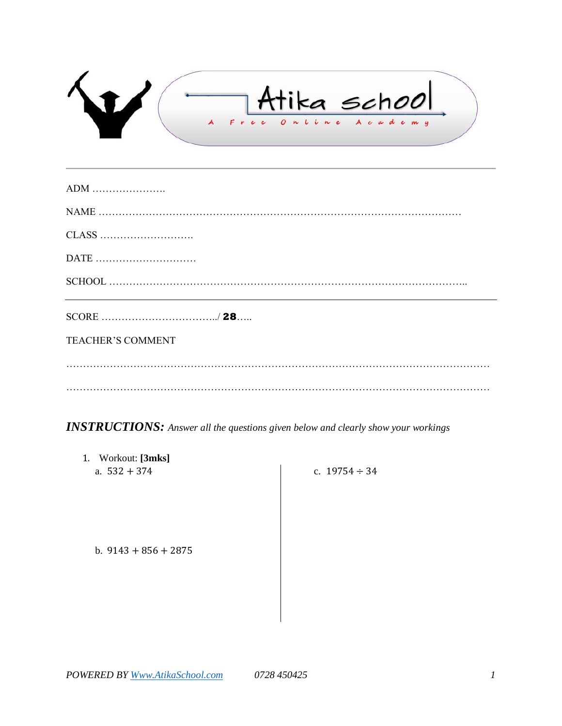$\sqrt{v}$ r schou Free  $O$   $\sim$ n e  $\iota$  $\ddot{\mathbf{c}}$ demy

| <b>TEACHER'S COMMENT</b> |
|--------------------------|
|                          |

*INSTRUCTIONS: Answer all the questions given below and clearly show your workings*

1. Workout: **[3mks]** a.  $532 + 374$ 

c.  $19754 \div 34$ 

b.  $9143 + 856 + 2875$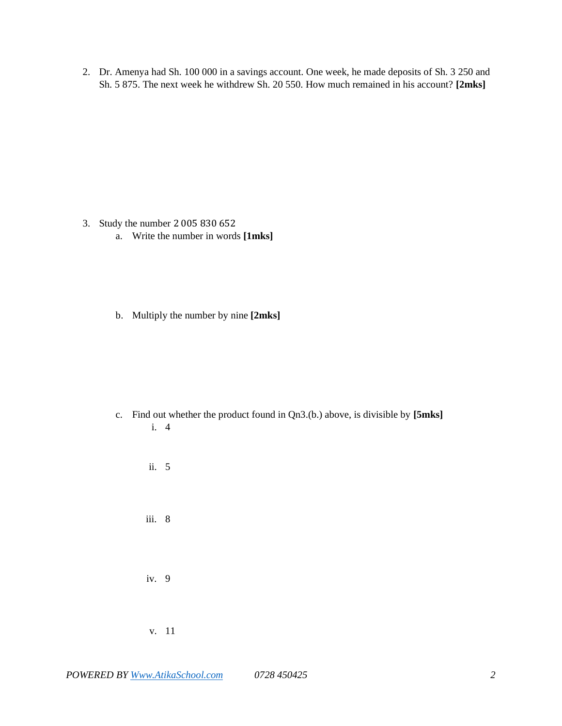2. Dr. Amenya had Sh. 100 000 in a savings account. One week, he made deposits of Sh. 3 250 and Sh. 5 875. The next week he withdrew Sh. 20 550. How much remained in his account? **[2mks]**

- 3. Study the number
	- a. Write the number in words **[1mks]**
	- b. Multiply the number by nine **[2mks]**

- c. Find out whether the product found in Qn3.(b.) above, is divisible by **[5mks]** i. 4
	- ii. 5 iii. 8 iv. 9 v. 11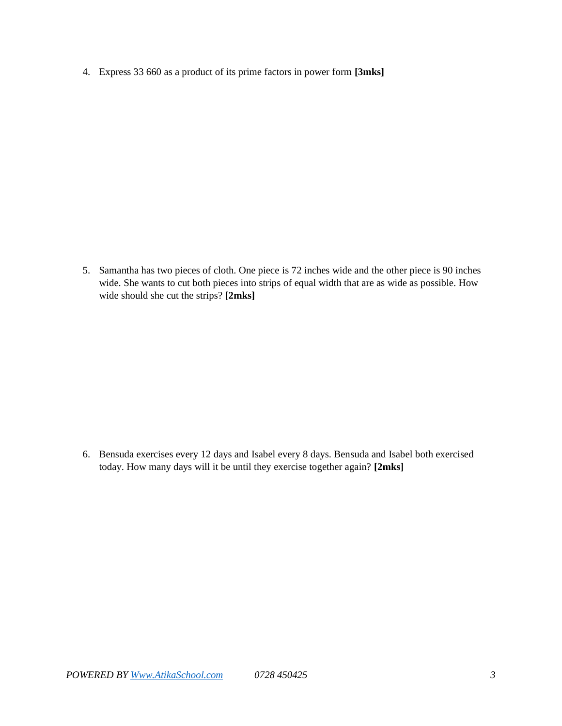4. Express 33 660 as a product of its prime factors in power form **[3mks]**

5. Samantha has two pieces of cloth. One piece is 72 inches wide and the other piece is 90 inches wide. She wants to cut both pieces into strips of equal width that are as wide as possible. How wide should she cut the strips? **[2mks]**

6. Bensuda exercises every 12 days and Isabel every 8 days. Bensuda and Isabel both exercised today. How many days will it be until they exercise together again? **[2mks]**